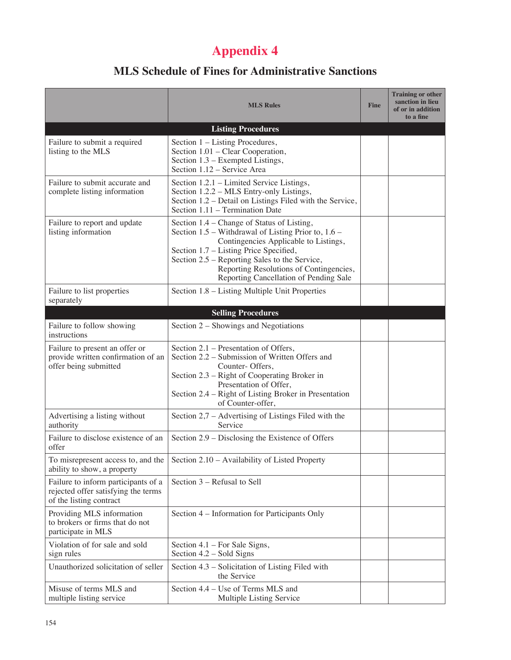## **Appendix 4**

## **MLS Schedule of Fines for Administrative Sanctions**

|                                                                                                       | <b>MLS Rules</b>                                                                                                                                                                                                                                                                                                           | <b>Fine</b> | <b>Training or other</b><br>sanction in lieu<br>of or in addition<br>to a fine |
|-------------------------------------------------------------------------------------------------------|----------------------------------------------------------------------------------------------------------------------------------------------------------------------------------------------------------------------------------------------------------------------------------------------------------------------------|-------------|--------------------------------------------------------------------------------|
|                                                                                                       | <b>Listing Procedures</b>                                                                                                                                                                                                                                                                                                  |             |                                                                                |
| Failure to submit a required<br>listing to the MLS                                                    | Section 1 - Listing Procedures,<br>Section 1.01 – Clear Cooperation,<br>Section 1.3 – Exempted Listings,<br>Section 1.12 - Service Area                                                                                                                                                                                    |             |                                                                                |
| Failure to submit accurate and<br>complete listing information                                        | Section 1.2.1 – Limited Service Listings,<br>Section 1.2.2 - MLS Entry-only Listings,<br>Section 1.2 – Detail on Listings Filed with the Service,<br>Section 1.11 - Termination Date                                                                                                                                       |             |                                                                                |
| Failure to report and update<br>listing information                                                   | Section 1.4 – Change of Status of Listing,<br>Section 1.5 – Withdrawal of Listing Prior to, 1.6 –<br>Contingencies Applicable to Listings,<br>Section 1.7 – Listing Price Specified,<br>Section 2.5 – Reporting Sales to the Service,<br>Reporting Resolutions of Contingencies,<br>Reporting Cancellation of Pending Sale |             |                                                                                |
| Failure to list properties<br>separately                                                              | Section 1.8 – Listing Multiple Unit Properties                                                                                                                                                                                                                                                                             |             |                                                                                |
|                                                                                                       | <b>Selling Procedures</b>                                                                                                                                                                                                                                                                                                  |             |                                                                                |
| Failure to follow showing<br>instructions                                                             | Section 2 – Showings and Negotiations                                                                                                                                                                                                                                                                                      |             |                                                                                |
| Failure to present an offer or<br>provide written confirmation of an<br>offer being submitted         | Section 2.1 – Presentation of Offers,<br>Section 2.2 – Submission of Written Offers and<br>Counter-Offers,<br>Section 2.3 – Right of Cooperating Broker in<br>Presentation of Offer,<br>Section 2.4 – Right of Listing Broker in Presentation<br>of Counter-offer,                                                         |             |                                                                                |
| Advertising a listing without<br>authority                                                            | Section $2.7$ – Advertising of Listings Filed with the<br>Service                                                                                                                                                                                                                                                          |             |                                                                                |
| Failure to disclose existence of an<br>offer                                                          | Section 2.9 – Disclosing the Existence of Offers                                                                                                                                                                                                                                                                           |             |                                                                                |
| To misrepresent access to, and the<br>ability to show, a property                                     | Section 2.10 - Availability of Listed Property                                                                                                                                                                                                                                                                             |             |                                                                                |
| Failure to inform participants of a<br>rejected offer satisfying the terms<br>of the listing contract | Section 3 – Refusal to Sell                                                                                                                                                                                                                                                                                                |             |                                                                                |
| Providing MLS information<br>to brokers or firms that do not<br>participate in MLS                    | Section 4 – Information for Participants Only                                                                                                                                                                                                                                                                              |             |                                                                                |
| Violation of for sale and sold<br>sign rules                                                          | Section 4.1 – For Sale Signs,<br>Section 4.2 – Sold Signs                                                                                                                                                                                                                                                                  |             |                                                                                |
| Unauthorized solicitation of seller                                                                   | Section 4.3 – Solicitation of Listing Filed with<br>the Service                                                                                                                                                                                                                                                            |             |                                                                                |
| Misuse of terms MLS and<br>multiple listing service                                                   | Section 4.4 – Use of Terms MLS and<br>Multiple Listing Service                                                                                                                                                                                                                                                             |             |                                                                                |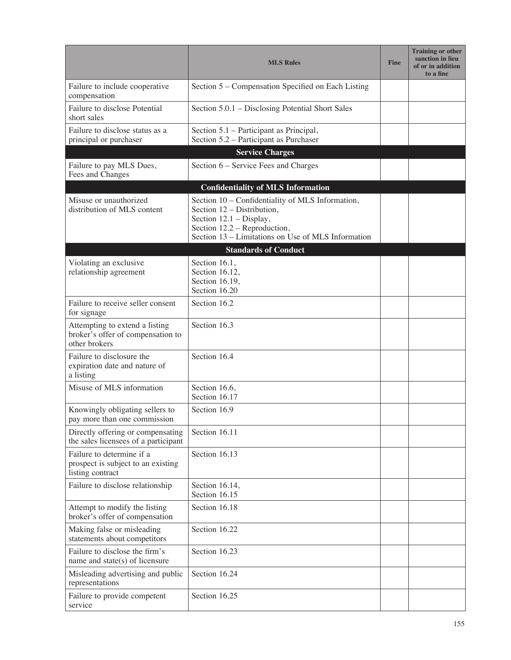|                                                                                      | <b>MLS Rules</b>                                                                                                                                                                                | <b>Fine</b> | <b>Training or other</b><br>sanction in lieu<br>of or in addition<br>to a fine |
|--------------------------------------------------------------------------------------|-------------------------------------------------------------------------------------------------------------------------------------------------------------------------------------------------|-------------|--------------------------------------------------------------------------------|
| Failure to include cooperative<br>compensation                                       | Section 5 – Compensation Specified on Each Listing                                                                                                                                              |             |                                                                                |
| Failure to disclose Potential<br>short sales                                         | Section 5.0.1 – Disclosing Potential Short Sales                                                                                                                                                |             |                                                                                |
| Failure to disclose status as a<br>principal or purchaser                            | Section 5.1 – Participant as Principal,<br>Section 5.2 – Participant as Purchaser                                                                                                               |             |                                                                                |
|                                                                                      | <b>Service Charges</b>                                                                                                                                                                          |             |                                                                                |
| Failure to pay MLS Dues,<br>Fees and Changes                                         | Section 6 – Service Fees and Charges                                                                                                                                                            |             |                                                                                |
|                                                                                      | <b>Confidentiality of MLS Information</b>                                                                                                                                                       |             |                                                                                |
| Misuse or unauthorized<br>distribution of MLS content                                | Section 10 - Confidentiality of MLS Information,<br>Section 12 – Distribution,<br>Section 12.1 - Display,<br>Section 12.2 - Reproduction,<br>Section 13 - Limitations on Use of MLS Information |             |                                                                                |
|                                                                                      | <b>Standards of Conduct</b>                                                                                                                                                                     |             |                                                                                |
| Violating an exclusive<br>relationship agreement                                     | Section 16.1,<br>Section 16.12,<br>Section 16.19,<br>Section 16.20                                                                                                                              |             |                                                                                |
| Failure to receive seller consent<br>for signage                                     | Section 16.2                                                                                                                                                                                    |             |                                                                                |
| Attempting to extend a listing<br>broker's offer of compensation to<br>other brokers | Section 16.3                                                                                                                                                                                    |             |                                                                                |
| Failure to disclosure the<br>expiration date and nature of<br>a listing              | Section 16.4                                                                                                                                                                                    |             |                                                                                |
| Misuse of MLS information                                                            | Section 16.6,<br>Section 16.17                                                                                                                                                                  |             |                                                                                |
| Knowingly obligating sellers to<br>pay more than one commission                      | Section 16.9                                                                                                                                                                                    |             |                                                                                |
| Directly offering or compensating<br>the sales licensees of a participant            | Section 16.11                                                                                                                                                                                   |             |                                                                                |
| Failure to determine if a<br>prospect is subject to an existing<br>listing contract  | Section 16.13                                                                                                                                                                                   |             |                                                                                |
| Failure to disclose relationship                                                     | Section 16.14,<br>Section 16.15                                                                                                                                                                 |             |                                                                                |
| Attempt to modify the listing<br>broker's offer of compensation                      | Section 16.18                                                                                                                                                                                   |             |                                                                                |
| Making false or misleading<br>statements about competitors                           | Section 16.22                                                                                                                                                                                   |             |                                                                                |
| Failure to disclose the firm's<br>name and state(s) of licensure                     | Section 16.23                                                                                                                                                                                   |             |                                                                                |
| Misleading advertising and public<br>representations                                 | Section 16.24                                                                                                                                                                                   |             |                                                                                |
| Failure to provide competent<br>service                                              | Section 16.25                                                                                                                                                                                   |             |                                                                                |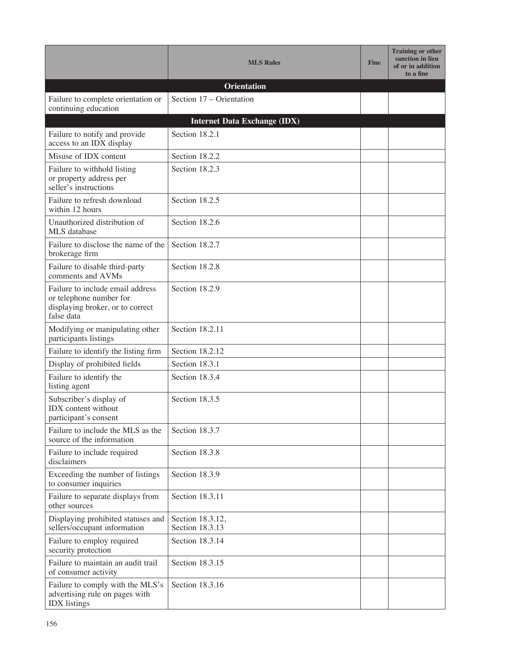|                                                                                                               | <b>MLS Rules</b>                    | <b>Fine</b> | <b>Training or other</b><br>sanction in lieu<br>of or in addition<br>to a fine |
|---------------------------------------------------------------------------------------------------------------|-------------------------------------|-------------|--------------------------------------------------------------------------------|
|                                                                                                               | <b>Orientation</b>                  |             |                                                                                |
| Failure to complete orientation or<br>continuing education                                                    | Section 17 – Orientation            |             |                                                                                |
|                                                                                                               | <b>Internet Data Exchange (IDX)</b> |             |                                                                                |
| Failure to notify and provide<br>access to an IDX display                                                     | Section 18.2.1                      |             |                                                                                |
| Misuse of IDX content                                                                                         | Section 18.2.2                      |             |                                                                                |
| Failure to withhold listing<br>or property address per<br>seller's instructions                               | Section 18.2.3                      |             |                                                                                |
| Failure to refresh download<br>within 12 hours                                                                | Section 18.2.5                      |             |                                                                                |
| Unauthorized distribution of<br>MLS database                                                                  | Section 18.2.6                      |             |                                                                                |
| Failure to disclose the name of the<br>brokerage firm                                                         | Section 18.2.7                      |             |                                                                                |
| Failure to disable third-party<br>comments and AVMs                                                           | Section 18.2.8                      |             |                                                                                |
| Failure to include email address<br>or telephone number for<br>displaying broker, or to correct<br>false data | Section 18.2.9                      |             |                                                                                |
| Modifying or manipulating other<br>participants listings                                                      | Section 18.2.11                     |             |                                                                                |
| Failure to identify the listing firm                                                                          | Section 18.2.12                     |             |                                                                                |
| Display of prohibited fields                                                                                  | Section 18.3.1                      |             |                                                                                |
| Failure to identify the<br>listing agent                                                                      | Section 18.3.4                      |             |                                                                                |
| Subscriber's display of<br><b>IDX</b> content without<br>participant's consent                                | Section 18.3.5                      |             |                                                                                |
| Failure to include the MLS as the<br>source of the information                                                | Section 18.3.7                      |             |                                                                                |
| Failure to include required<br>disclaimers                                                                    | Section 18.3.8                      |             |                                                                                |
| Exceeding the number of listings<br>to consumer inquiries                                                     | Section 18.3.9                      |             |                                                                                |
| Failure to separate displays from<br>other sources                                                            | Section 18.3.11                     |             |                                                                                |
| Displaying prohibited statuses and<br>sellers/occupant information                                            | Section 18.3.12,<br>Section 18.3.13 |             |                                                                                |
| Failure to employ required<br>security protection                                                             | Section 18.3.14                     |             |                                                                                |
| Failure to maintain an audit trail<br>of consumer activity                                                    | Section 18.3.15                     |             |                                                                                |
| Failure to comply with the MLS's<br>advertising rule on pages with<br><b>IDX</b> listings                     | Section 18.3.16                     |             |                                                                                |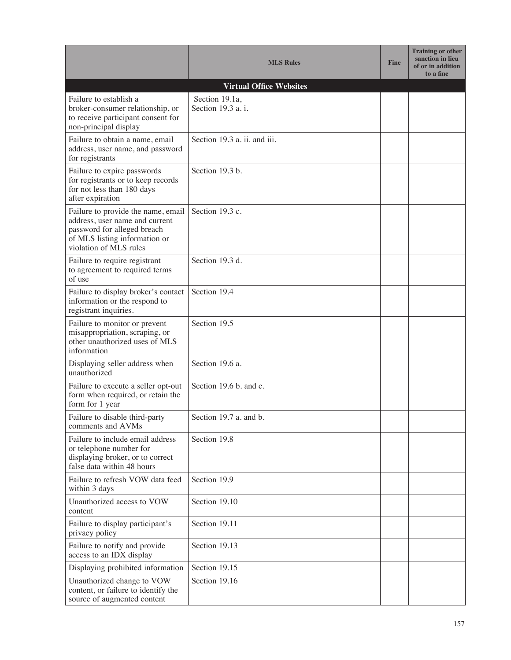|                                                                                                                                                                | <b>MLS Rules</b>                     | <b>Fine</b> | <b>Training or other</b><br>sanction in lieu<br>of or in addition<br>to a fine |
|----------------------------------------------------------------------------------------------------------------------------------------------------------------|--------------------------------------|-------------|--------------------------------------------------------------------------------|
|                                                                                                                                                                | <b>Virtual Office Websites</b>       |             |                                                                                |
| Failure to establish a<br>broker-consumer relationship, or<br>to receive participant consent for<br>non-principal display                                      | Section 19.1a,<br>Section 19.3 a. i. |             |                                                                                |
| Failure to obtain a name, email<br>address, user name, and password<br>for registrants                                                                         | Section 19.3 a. ii. and iii.         |             |                                                                                |
| Failure to expire passwords<br>for registrants or to keep records<br>for not less than 180 days<br>after expiration                                            | Section 19.3 b.                      |             |                                                                                |
| Failure to provide the name, email<br>address, user name and current<br>password for alleged breach<br>of MLS listing information or<br>violation of MLS rules | Section 19.3 c.                      |             |                                                                                |
| Failure to require registrant<br>to agreement to required terms<br>of use                                                                                      | Section 19.3 d.                      |             |                                                                                |
| Failure to display broker's contact<br>information or the respond to<br>registrant inquiries.                                                                  | Section 19.4                         |             |                                                                                |
| Failure to monitor or prevent<br>misappropriation, scraping, or<br>other unauthorized uses of MLS<br>information                                               | Section 19.5                         |             |                                                                                |
| Displaying seller address when<br>unauthorized                                                                                                                 | Section 19.6 a.                      |             |                                                                                |
| Failure to execute a seller opt-out<br>form when required, or retain the<br>form for 1 year                                                                    | Section 19.6 b. and c.               |             |                                                                                |
| Failure to disable third-party<br>comments and AVMs                                                                                                            | Section 19.7 a. and b.               |             |                                                                                |
| Failure to include email address<br>or telephone number for<br>displaying broker, or to correct<br>false data within 48 hours                                  | Section 19.8                         |             |                                                                                |
| Failure to refresh VOW data feed<br>within 3 days                                                                                                              | Section 19.9                         |             |                                                                                |
| Unauthorized access to VOW<br>content                                                                                                                          | Section 19.10                        |             |                                                                                |
| Failure to display participant's<br>privacy policy                                                                                                             | Section 19.11                        |             |                                                                                |
| Failure to notify and provide<br>access to an IDX display                                                                                                      | Section 19.13                        |             |                                                                                |
| Displaying prohibited information                                                                                                                              | Section 19.15                        |             |                                                                                |
| Unauthorized change to VOW<br>content, or failure to identify the<br>source of augmented content                                                               | Section 19.16                        |             |                                                                                |